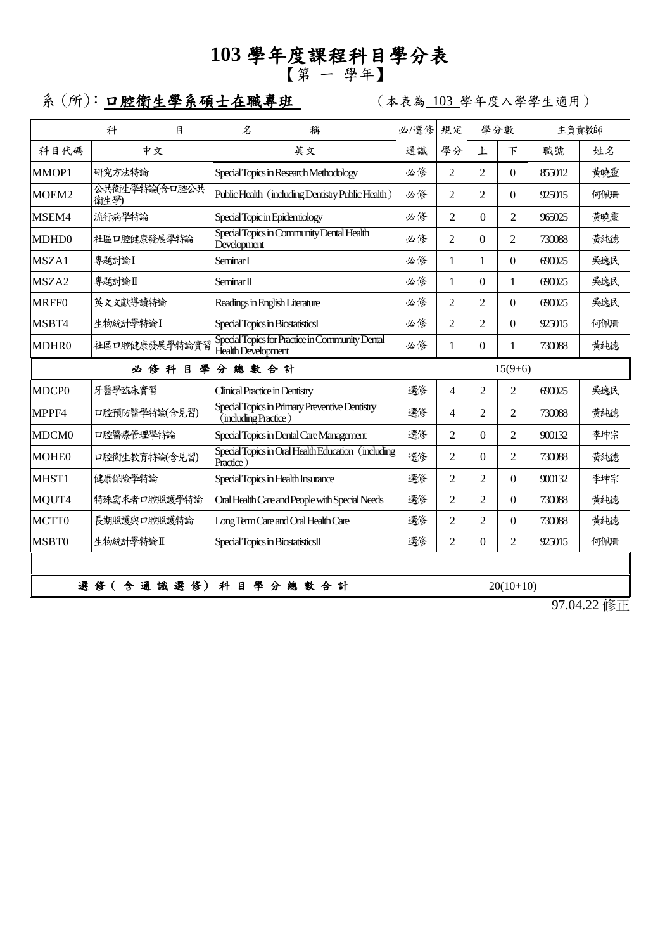## **103** 學年度課程科目學分表 【第 一 學年】

系 (所): 口腔衛生學系碩士在職專班 | (本表為 103 學年度入學學生適用)

|                             | 科<br>目                | $\mathcal{Z}$<br>稱                                                     | 必/選修                                               | 規定                              | 學分數                 |                | 主負責教師  |     |  |
|-----------------------------|-----------------------|------------------------------------------------------------------------|----------------------------------------------------|---------------------------------|---------------------|----------------|--------|-----|--|
| 科目代碼                        | 中文                    | 英文                                                                     | 通識                                                 | 學分                              | 上                   | 下              | 職號     | 姓名  |  |
| MMOP1                       | 研究方法特論                | Special Topics in Research Methodology                                 | 必修                                                 | $\mathfrak{D}$                  | $\mathfrak{D}$      | $\Omega$       | 855012 | 黃曉靈 |  |
| MOEM <sub>2</sub>           | 公共衛生學特論(含口腔公共<br>衛生學) | Public Health (including Dentistry Public Health)                      | 必修                                                 | 2                               | $\mathfrak{D}$      | $\Omega$       | 925015 | 何佩珊 |  |
| MSEM4                       | 流行病學特論                | Special Topic in Epidemiology                                          | 必修                                                 | $\mathfrak{D}$                  | $\Omega$            | $\mathfrak{D}$ | 965025 | 黃曉靈 |  |
| MDHD <sub>0</sub>           | 社區口腔健康發展學特論           | Special Topics in Community Dental Health<br>Development               | 必修                                                 | $\mathfrak{D}$                  | $\Omega$            | 2              | 730088 | 黃純德 |  |
| MSZA1                       | 專題討論I                 | Seminar I                                                              | 必修                                                 | $\mathbf{1}$                    | 1                   | $\Omega$       | 690025 | 吳逸民 |  |
| MSZA2                       | 專題討論Ⅱ                 | Seminar II                                                             | 必修                                                 | 1                               | $\Omega$            | 1              | 690025 | 吳逸民 |  |
| <b>MRFF0</b>                | 英文文獻導讀特論              | Readings in English Literature                                         | 必修                                                 | 2                               | $\overline{2}$      | $\theta$       | 690025 | 吳逸民 |  |
| MSBT4                       | 生物統計學特論I              | Special Topics in BiostatisticsI                                       | 必修                                                 | 2                               | $\overline{2}$      | $\theta$       | 925015 | 何佩珊 |  |
| MDHR0                       | 社區口腔健康發展學特論實習         | Special Topics for Practice in Community Dental<br>Health Development  | 必修                                                 | $\mathbf{1}$                    | $\overline{0}$      | $\mathbf{1}$   | 730088 | 黃純德 |  |
| 必修科目學<br>分總數合計              |                       |                                                                        |                                                    | $15(9+6)$                       |                     |                |        |     |  |
| MDCP <sub>0</sub>           | 牙醫學臨床實習               | <b>Clinical Practice in Dentistry</b>                                  | 選修                                                 | 4                               | $\mathfrak{D}$      | $\overline{2}$ | 690025 | 吳逸民 |  |
| MPPF4                       | 口腔預防醫學特論(含見習)         | Special Topics in Primary Preventive Dentistry<br>(including Practice) | 選修<br>2<br>$\overline{2}$<br>4                     |                                 | 730088              | 黄純德            |        |     |  |
| MDCM <sub>0</sub>           | 口腔醫療管理學特論             | Special Topics in Dental Care Management                               | 選修<br>$\mathfrak{D}$<br>$\mathfrak{D}$<br>0        |                                 | 900132              | 李坤宗            |        |     |  |
| <b>MOHEO</b>                | 口腔衛生教育特論(含見習)         | Special Topics in Oral Health Education (including<br>Practice)        | 選修                                                 | 2<br>$\Omega$<br>$\overline{c}$ |                     | 730088         | 黃純德    |     |  |
| MHST1                       | 健康保險學特論               | Special Topics in Health Insurance                                     | 選修                                                 | $\mathfrak{D}$                  | $\overline{c}$<br>0 |                | 900132 | 李坤宗 |  |
| MQUT4                       | 特殊需求者口腔照護學特論          | Oral Health Care and People with Special Needs                         | 選修                                                 | $\mathfrak{D}$<br>2<br>$\Omega$ |                     | 730088         | 黄純德    |     |  |
| MCTT0                       | 長期照護與口腔照護特論           | Long Term Care and Oral Health Care                                    | 選修<br>$\overline{2}$<br>$\overline{2}$<br>$\theta$ |                                 | 730088              | 黃純德            |        |     |  |
| MSBT0                       | 生物統計學特論I              | Special Topics in BiostatisticsII                                      | 選修                                                 | $\overline{2}$                  | $\theta$            | $\overline{2}$ | 925015 | 何佩珊 |  |
|                             |                       |                                                                        |                                                    |                                 |                     |                |        |     |  |
| 選 修 (含 通 識 選 修)<br>科目學分總數合計 |                       |                                                                        | $20(10+10)$                                        |                                 |                     |                |        |     |  |

97.04.22 修正